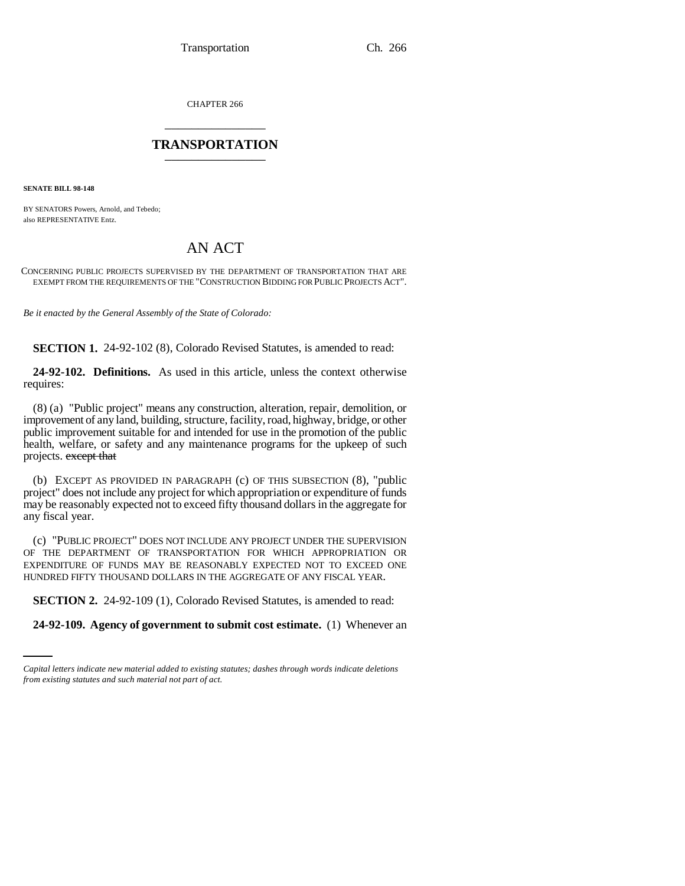CHAPTER 266 \_\_\_\_\_\_\_\_\_\_\_\_\_\_\_

## **TRANSPORTATION** \_\_\_\_\_\_\_\_\_\_\_\_\_\_\_

**SENATE BILL 98-148**

BY SENATORS Powers, Arnold, and Tebedo; also REPRESENTATIVE Entz.

## AN ACT

CONCERNING PUBLIC PROJECTS SUPERVISED BY THE DEPARTMENT OF TRANSPORTATION THAT ARE EXEMPT FROM THE REQUIREMENTS OF THE "CONSTRUCTION BIDDING FOR PUBLIC PROJECTS ACT".

*Be it enacted by the General Assembly of the State of Colorado:*

**SECTION 1.** 24-92-102 (8), Colorado Revised Statutes, is amended to read:

**24-92-102. Definitions.** As used in this article, unless the context otherwise requires:

(8) (a) "Public project" means any construction, alteration, repair, demolition, or improvement of any land, building, structure, facility, road, highway, bridge, or other public improvement suitable for and intended for use in the promotion of the public health, welfare, or safety and any maintenance programs for the upkeep of such projects. except that

(b) EXCEPT AS PROVIDED IN PARAGRAPH (c) OF THIS SUBSECTION (8), "public project" does not include any project for which appropriation or expenditure of funds may be reasonably expected not to exceed fifty thousand dollars in the aggregate for any fiscal year.

(c) "PUBLIC PROJECT" DOES NOT INCLUDE ANY PROJECT UNDER THE SUPERVISION OF THE DEPARTMENT OF TRANSPORTATION FOR WHICH APPROPRIATION OR EXPENDITURE OF FUNDS MAY BE REASONABLY EXPECTED NOT TO EXCEED ONE HUNDRED FIFTY THOUSAND DOLLARS IN THE AGGREGATE OF ANY FISCAL YEAR.

**SECTION 2.** 24-92-109 (1), Colorado Revised Statutes, is amended to read:

**24-92-109. Agency of government to submit cost estimate.** (1) Whenever an

*Capital letters indicate new material added to existing statutes; dashes through words indicate deletions from existing statutes and such material not part of act.*